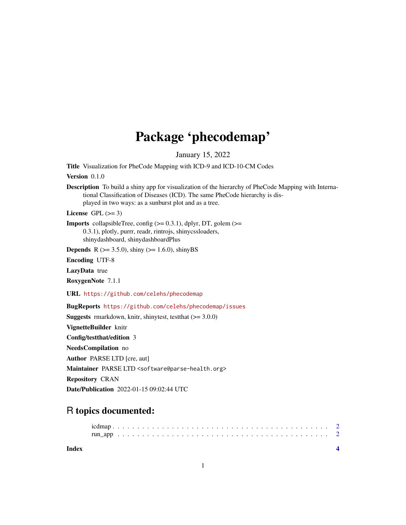## Package 'phecodemap'

January 15, 2022

<span id="page-0-0"></span>Title Visualization for PheCode Mapping with ICD-9 and ICD-10-CM Codes

Version 0.1.0

Description To build a shiny app for visualization of the hierarchy of PheCode Mapping with International Classification of Diseases (ICD). The same PheCode hierarchy is displayed in two ways: as a sunburst plot and as a tree.

License GPL  $(>= 3)$ 

**Imports** collapsibleTree, config  $(>= 0.3.1)$ , dplyr, DT, golem  $(>= 0.3.1)$ 0.3.1), plotly, purrr, readr, rintrojs, shinycssloaders, shinydashboard, shinydashboardPlus

**Depends** R ( $>= 3.5.0$ ), shiny ( $>= 1.6.0$ ), shinyBS

Encoding UTF-8

LazyData true

RoxygenNote 7.1.1

URL <https://github.com/celehs/phecodemap>

BugReports <https://github.com/celehs/phecodemap/issues>

**Suggests** rmarkdown, knitr, shinytest, test that  $(>= 3.0.0)$ 

VignetteBuilder knitr

Config/testthat/edition 3

NeedsCompilation no

Author PARSE LTD [cre, aut]

Maintainer PARSE LTD <software@parse-health.org>

Repository CRAN

Date/Publication 2022-01-15 09:02:44 UTC

## R topics documented:

**Index** [4](#page-3-0)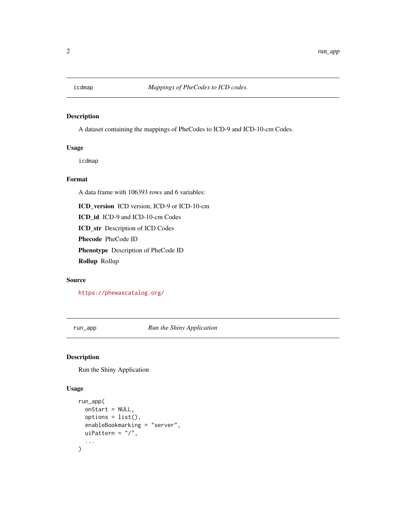<span id="page-1-0"></span>

#### Description

A dataset containing the mappings of PheCodes to ICD-9 and ICD-10-cm Codes.

#### Usage

icdmap

#### Format

A data frame with 106393 rows and 6 variables:

ICD\_version ICD version, ICD-9 or ICD-10-cm

ICD\_id ICD-9 and ICD-10-cm Codes

ICD\_str Description of ICD Codes

Phecode PheCode ID

Phenotype Description of PheCode ID

Rollup Rollup

#### Source

<https://phewascatalog.org/>

run\_app *Run the Shiny Application*

#### Description

Run the Shiny Application

#### Usage

```
run_app(
  onStart = NULL,
  options = list(),
 enableBookmarking = "server",
 uiPattern = "/",
  ...
)
```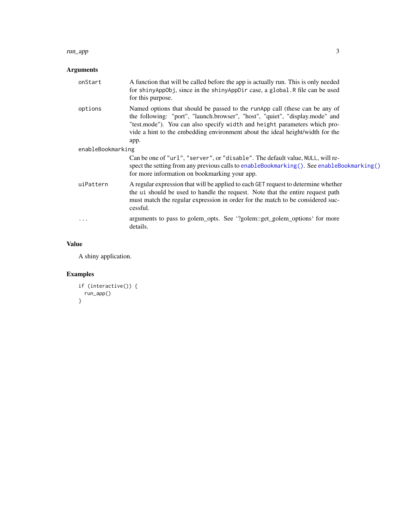#### <span id="page-2-0"></span>run\_app 3

### Arguments

| onStart           | A function that will be called before the app is actually run. This is only needed<br>for shinyAppObj, since in the shinyAppDir case, a global. R file can be used<br>for this purpose.                                                                                                                                           |
|-------------------|-----------------------------------------------------------------------------------------------------------------------------------------------------------------------------------------------------------------------------------------------------------------------------------------------------------------------------------|
| options           | Named options that should be passed to the runApp call (these can be any of<br>the following: "port", "launch.browser", "host", "quiet", "display.mode" and<br>"test.mode"). You can also specify width and height parameters which pro-<br>vide a hint to the embedding environment about the ideal height/width for the<br>app. |
| enableBookmarking |                                                                                                                                                                                                                                                                                                                                   |
|                   | Can be one of "url", "server", or "disable". The default value, NULL, will re-<br>spect the setting from any previous calls to enableBookmarking(). See enableBookmarking()<br>for more information on bookmarking your app.                                                                                                      |
| uiPattern         | A regular expression that will be applied to each GET request to determine whether<br>the ui should be used to handle the request. Note that the entire request path<br>must match the regular expression in order for the match to be considered suc-<br>cessful.                                                                |
| $\cdots$          | arguments to pass to golem_opts. See '?golem::get_golem_options' for more<br>details.                                                                                                                                                                                                                                             |

#### Value

A shiny application.

## Examples

```
if (interactive()) {
 run_app()
}
```